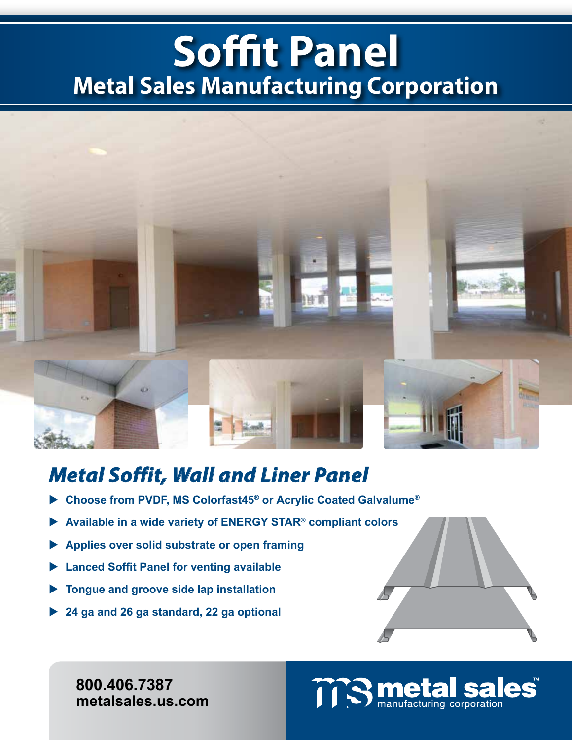## **Soffit Panel Metal Sales Manufacturing Corporation**



### *Metal Soffit, Wall and Liner Panel*

- **Choose from PVDF, MS Colorfast45® or Acrylic Coated Galvalume®**
- **Available in a wide variety of ENERGY STAR® compliant colors**
- **Applies over solid substrate or open framing**
- **Lanced Soffit Panel for venting available**
- **Tongue and groove side lap installation**
- **24 ga and 26 ga standard, 22 ga optional**

**800.406.7387 800.406.7387 www.metalsales.us.com metalsales.us.com**